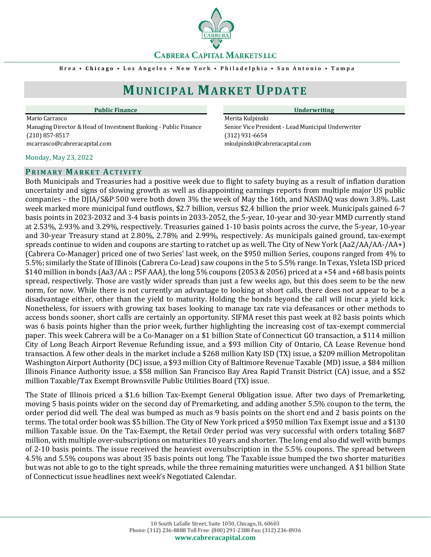**CABRERA CAPITAL MARKETS LLC** 

**Brea • Chicago • Los Angeles • New York • Philadelphia • San Antonio • Tamp a**

# **MUNICIPAL MARKET UPDATE**

Mario Carrasco **Merita Kulpinski** Managing Director & Head of Investment Banking - Public Finance Senior Vice President - Lead Municipal Underwriter (210) 857-8517 (312) 931-6654 mcarrasco@cabreracapital.com mkulpinski@cabreracapital.com

# Monday, May 23, 2022

#### **PRIMARY MARKET ACTIVITY**

Both Municipals and Treasuries had a positive week due to flight to safety buying as a result of inflation duration uncertainty and signs of slowing growth as well as disappointing earnings reports from multiple major US public companies – the DJIA/S&P 500 were both down 3% the week of May the 16th, and NASDAQ was down 3.8%. Last week marked more municipal fund outflows, \$2.7 billion, versus \$2.4 billion the prior week. Municipals gained 6-7 basis points in 2023-2032 and 3-4 basis points in 2033-2052, the 5-year, 10-year and 30-year MMD currently stand at 2.53%, 2.93% and 3.29%, respectively. Treasuries gained 1-10 basis points across the curve, the 5-year, 10-year and 30-year Treasury stand at 2.80%, 2.78% and 2.99%, respectively. As municipals gained ground, tax-exempt spreads continue to widen and coupons are starting to ratchet up as well. The City of New York (Aa2/AA/AA-/AA+) (Cabrera Co-Manager) priced one of two Series' last week, on the \$950 million Series, coupons ranged from 4% to 5.5%; similarly the State of Illinois (Cabrera Co-Lead) saw coupons in the 5 to 5.5% range. In Texas, Ysleta ISD priced \$140 million in bonds (Aa3/AA :: PSF AAA), the long 5% coupons (2053 & 2056) priced at a +54 and +68 basis points spread, respectively. Those are vastly wider spreads than just a few weeks ago, but this does seem to be the new norm, for now. While there is not currently an advantage to looking at short calls, there does not appear to be a disadvantage either, other than the yield to maturity. Holding the bonds beyond the call will incur a yield kick. Nonetheless, for issuers with growing tax bases looking to manage tax rate via defeasances or other methods to access bonds sooner, short calls are certainly an opportunity. SIFMA reset this past week at 82 basis points which was 6 basis points higher than the prior week, further highlighting the increasing cost of tax-exempt commercial

paper. This week Cabrera will be a Co-Manager on a \$1 billion State of Connecticut GO transaction, a \$114 million City of Long Beach Airport Revenue Refunding issue, and a \$93 million City of Ontario, CA Lease Revenue bond transaction. A few other deals in the market include a \$268 million Katy ISD (TX) issue, a \$209 million Metropolitan Washington Airport Authority (DC) issue, a \$93 million City of Baltimore Revenue Taxable (MD) issue, a \$84 million Illinois Finance Authority issue, a \$58 million San Francisco Bay Area Rapid Transit District (CA) issue, and a \$52 million Taxable/Tax Exempt Brownsville Public Utilities Board (TX) issue.

The State of Illinois priced a \$1.6 billion Tax-Exempt General Obligation issue. After two days of Premarketing, moving 5 basis points wider on the second day of Premarketing, and adding another 5.5% coupon to the term, the order period did well. The deal was bumped as much as 9 basis points on the short end and 2 basis points on the terms. The total order book was \$5 billion. The City of New York priced a \$950 million Tax Exempt issue and a \$130 million Taxable issue. On the Tax-Exempt, the Retail Order period was very successful with orders totaling \$687 million, with multiple over-subscriptions on maturities 10 years and shorter. The long end also did well with bumps of 2-10 basis points. The issue received the heaviest oversubscription in the 5.5% coupons. The spread between 4.5% and 5.5% coupons was about 35 basis points out long. The Taxable issue bumped the two shorter maturities but was not able to go to the tight spreads, while the three remaining maturities were unchanged. A \$1 billion State of Connecticut issue headlines next week's Negotiated Calendar.

# **Public Finance Underwriting**

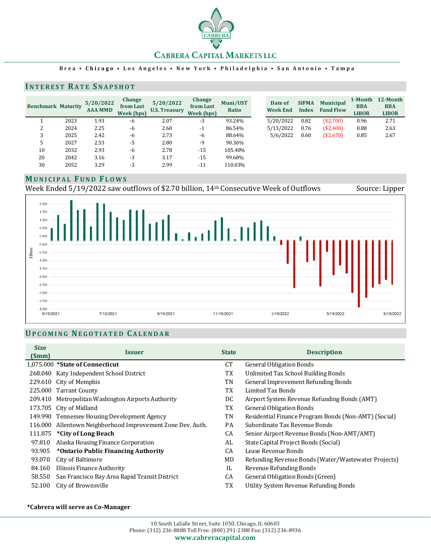

#### **Brea • Chicago • Los Angeles • New York • Philadelphia • San Antonio • Tamp a**

### **INTEREST RATE SNAPSHOT**

| <b>Benchmark Maturity</b> |      | 5/20/2022<br><b>AAA MMD</b> | Change<br>from Last<br>Week (bps) | 5/20/2022<br><b>U.S. Treasury</b> | Change<br>from Last<br>Week (bps) | Muni/UST<br>Ratio | Date of<br><b>Week End</b> | <b>SIFMA</b><br><b>Index</b> | <b>Municipal</b><br><b>Fund Flow</b> | 1-Month<br><b>BBA</b><br><b>LIBOR</b> | 12-Month<br><b>BBA</b><br><b>LIBOR</b> |
|---------------------------|------|-----------------------------|-----------------------------------|-----------------------------------|-----------------------------------|-------------------|----------------------------|------------------------------|--------------------------------------|---------------------------------------|----------------------------------------|
|                           | 2023 | 1.93                        | -6                                | 2.07                              | $-3$                              | 93.24%            | 5/20/2022                  | 0.82                         | $(\$2,700)$                          | 0.96                                  | 2.71                                   |
| ∼                         | 2024 | 2.25                        | -6                                | 2.60                              | -1                                | 86.54%            | 5/13/2022                  | 0.76                         | $(\$2,400)$                          | 0.88                                  | 2.63                                   |
| 3                         | 2025 | 2.42                        | -6                                | 2.73                              | -6                                | 88.64%            | 5/6/2022                   | 0.60                         | $(\$2,670)$                          | 0.85                                  | 2.67                                   |
| Ь                         | 2027 | 2.53                        | $-5$                              | 2.80                              | $-9$                              | 90.36%            |                            |                              |                                      |                                       |                                        |
| 10                        | 2032 | 2.93                        | $-6$                              | 2.78                              | $-15$                             | 105.40%           |                            |                              |                                      |                                       |                                        |
| 20                        | 2042 | 3.16                        | $-3$                              | 3.17                              | $-15$                             | 99.68%            |                            |                              |                                      |                                       |                                        |
| 30                        | 2052 | 3.29                        | $-3$                              | 2.99                              | -11                               | 110.03%           |                            |                              |                                      |                                       |                                        |

#### **MUNICIPAL FUND FLOWS**

Week Ended 5/19/2022 saw outflows of \$2.70 billion, 14<sup>th</sup> Consecutive Week of Outflows Source: Lipper

2.250 ┠╷┠┠┎╻╏┠┠╷╻┎╷<br>┠<u>┎┞┠┠┠╿╿╿╿╿╻╺┎╻╻┎╿┨┎╶┎┎┠</u>┠╏ 1750 1.250 0.750  $0.250$  $-0.250$ \$ Billions  $-0.750$  $-1.250$  $-1.750$  $-2.250$  $-2.750$  $-3.250$  $-3.750$  $-4.250$ 5/19/2021 7/19/2021 9/19/2021 11/19/2021 1/19/2022 3/19/2022 5/19/2022

## **UPCOMING NEGOTIATED CALENDAR**

| <b>Size</b><br>(Smm) | <b>Issuer</b>                                              | <b>State</b> | <b>Description</b>                                   |
|----------------------|------------------------------------------------------------|--------------|------------------------------------------------------|
|                      | 1,075.000 *State of Connecticut                            | <b>CT</b>    | <b>General Obligation Bonds</b>                      |
|                      | 268.040 Katy Independent School District                   | TX           | Unlimited Tax School Building Bonds                  |
|                      | 229.610 City of Memphis                                    | TN           | General Improvement Refunding Bonds                  |
|                      | 225.000 Tarrant County                                     | TX           | Limited Tax Bonds                                    |
|                      | 209.410 Metropolitan Washington Airports Authority         | DC           | Airport System Revenue Refunding Bonds (AMT)         |
| 173.705              | City of Midland                                            | TX           | <b>General Obligation Bonds</b>                      |
|                      | 149.990 Tennessee Housing Development Agency               | TN           | Residential Finance Program Bonds (Non-AMT) (Social) |
|                      | 116.000 Allentown Neighborhood Improvement Zone Dev. Auth. | PA           | Subordinate Tax Revenue Bonds                        |
|                      | 111.875 * City of Long Beach                               | CA           | Senior Airport Revenue Bonds (Non-AMT/AMT)           |
| 97.810               | Alaska Housing Finance Corporation                         | AL           | State Capital Project Bonds (Social)                 |
| 93.905               | *Ontario Public Financing Authority                        | CA           | Lease Revenue Bonds                                  |
| 93.070               | City of Baltimore                                          | MD           | Refunding Revenue Bonds (Water/Wastewater Projects)  |
| 84.160               | Illinois Finance Authority                                 | IL           | Revenue Refunding Bonds                              |
| 58.550               | San Francisco Bay Area Rapid Transit District              | CA           | General Obligation Bonds (Green)                     |
| 52.100               | City of Brownsville                                        | TX           | Utility System Revenue Refunding Bonds               |

#### **\*Cabrera will serve as Co-Manager**